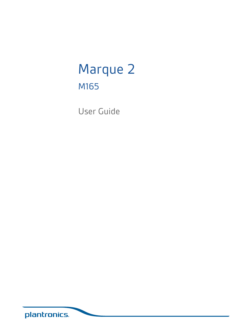# Marque 2 M165

User Guide

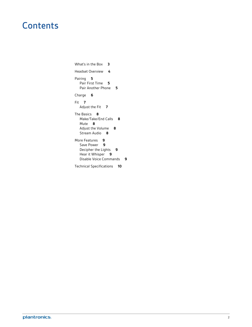### **Contents**

[What's in the Box](#page-2-0) **3** [Headset Overview](#page-3-0) **4** [Pairing](#page-4-0) **5** [Pair First Time](#page-4-0) **5** [Pair Another Phone](#page-4-0) **5** [Charge](#page-5-0) **6** [Fit](#page-6-0) **7** [Adjust the Fit](#page-6-0) **7** [The Basics](#page-7-0) **8** [Make/Take/End Calls](#page-7-0) **8** [Mute](#page-7-0) **8** [Adjust the Volume](#page-7-0) **8** [Stream Audio](#page-7-0) **8** [More Features](#page-8-0) **9** [Save Power](#page-8-0) **9** [Decipher the Lights](#page-8-0) **9** [Hear it Whisper](#page-8-0) **9** [Disable Voice Commands](#page-8-0) **9** [Technical Specifications](#page-9-0) **10**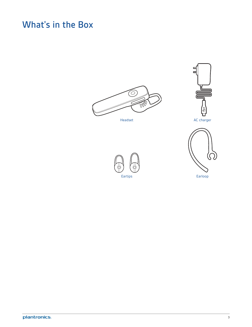### <span id="page-2-0"></span>What's in the Box







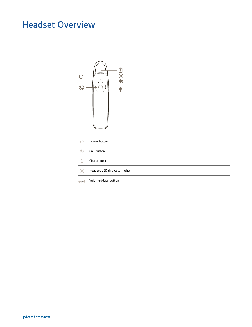### <span id="page-3-0"></span>Headset Overview



| $\langle \cdot   \cdot \rangle$ | Power button                  |
|---------------------------------|-------------------------------|
| $\mathbb{Q}$                    | Call button                   |
| 囱                               | Charge port                   |
| $\frac{1}{2}o(-$                | Headset LED (indicator light) |
| $ i\rangle/\frac{16}{2}$        | Volume/Mute button            |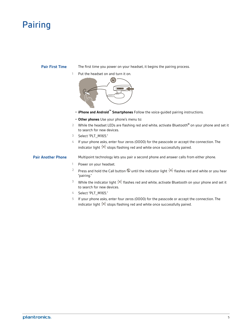### <span id="page-4-0"></span>Pairing

#### **Pair First Time**

The first time you power on your headset, it begins the pairing process.

**1** Put the headset on and turn it on.



- **iPhone and Android™ Smartphones** Follow the voice-guided pairing instructions.
- **Other phones** Use your phone's menu to:
- **2** While the headset LEDs are flashing red and white, activate Bluetooth® on your phone and set it to search for new devices.
- **3** Select "PLT\_M165."
- **4** If your phone asks, enter four zeros (0000) for the passcode or accept the connection. The indicator light  $\dot{\vec{c}}$  stops flashing red and white once successfully paired.

#### **Pair Another Phone**

Multipoint technology lets you pair a second phone and answer calls from either phone.

- **1** Power on your headset.
- <sup>2</sup> Press and hold the Call button  $\mathbb Q$  until the indicator light  $\dot{\mathbb Z}^{\zeta}$  flashes red and white or you hear "pairing."
- <sup>3</sup> While the indicator light  $\dot{P}$ <sup> $\zeta$ </sup> flashes red and white, activate Bluetooth on your phone and set it to search for new devices.
- **4** Select "PLT\_M165."
- **5** If your phone asks, enter four zeros (0000) for the passcode or accept the connection. The indicator light  $\dot{z}$  stops flashing red and white once successfully paired.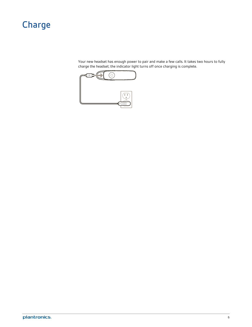### <span id="page-5-0"></span>Charge

Your new headset has enough power to pair and make a few calls. It takes two hours to fully charge the headset; the indicator light turns off once charging is complete.

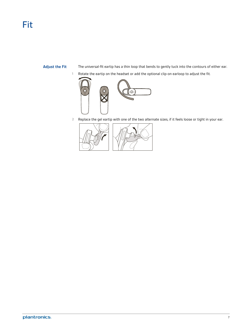#### <span id="page-6-0"></span>**Adjust the Fit**

- The universal-fit eartip has a thin loop that bends to gently tuck into the contours of either ear.
- **1** Rotate the eartip on the headset or add the optional clip-on earloop to adjust the fit.



**2** Replace the gel eartip with one of the two alternate sizes, if it feels loose or tight in your ear.

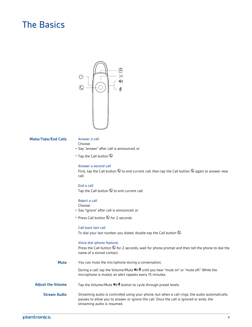### <span id="page-7-0"></span>The Basics



#### **Make/Take/End Calls**

#### Answer a call

Choose:

- Say "answer" after call is announced, or
- Tap the Call button  $\mathbb{O}$

#### Answer a second call

First, tap the Call button  $\mathbb Q$  to end current call, then tap the Call button  $\mathbb Q$  again to answer new call.

#### End a call Tap the Call button  $\mathbb Q$  to end current call.

#### Reject a call

Choose:

- Say "ignore" after call is announced, or
- Press Call button  $\mathbb G$  for 2 seconds

#### Call back last call

To dial your last number you dialed, double-tap the Call button  $\mathbb{Q}$ .

#### Voice dial (phone feature)

Press the Call button  $\mathbb Q$  for 2 seconds, wait for phone prompt and then tell the phone to dial the name of a stored contact.

You can mute the microphone during a conversation. **Mute**

> During a call, tap the Volume/Mute (1)/ $\rlap{\hspace{0.1em}\rlap{\hspace{0.1em}\rlap{\hspace{0.1em}\rlap{\hspace{0.1em}\rlap{\hspace{0.1em}\rlap{\hspace{0.1em}\rlap{\hspace{0.1em}\rlap{\hspace{0.1em}\rlap{\hspace{0.1em}\rlap{\hspace{0.1em}\rlap{\hspace{0.1em}\rlap{\hspace{0.1em}\rlap{\hspace{0.1em}\rlap{\hspace{0.1em}\rlap{\hspace{0.1em}\rlap{\hspace{0.1em}\rlap{\hs$ microphone is muted, an alert repeats every 15 minutes.

Tap the Volume/Mute <sup>(1</sup>)/<sup> $#$ </sup> button to cycle through preset levels. **Adjust the Volume**

Streaming audio is controlled using your phone, but when a call rings, the audio automatically pauses to allow you to answer or ignore the call. Once the call is ignored or ends, the streaming audio is resumed. **Stream Audio**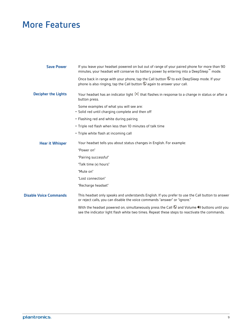### <span id="page-8-0"></span>More Features

| <b>Save Power</b>             | If you leave your headset powered on but out of range of your paired phone for more than 90<br>minutes, your headset will conserve its battery power by entering into a DeepSleep™ mode.                                    |
|-------------------------------|-----------------------------------------------------------------------------------------------------------------------------------------------------------------------------------------------------------------------------|
|                               | Once back in range with your phone, tap the Call button $\mathbb Q$ to exit DeepSleep mode. If your<br>phone is also ringing, tap the Call button $\mathbb Q$ again to answer your call.                                    |
| <b>Decipher the Lights</b>    | Your headset has an indicator light $\frac{1}{2}$ that flashes in response to a change in status or after a<br>button press.                                                                                                |
|                               | Some examples of what you will see are:<br>· Solid red until charging complete and then off                                                                                                                                 |
|                               | • Flashing red and white during pairing                                                                                                                                                                                     |
|                               | . Triple red flash when less than 10 minutes of talk time                                                                                                                                                                   |
|                               | • Triple white flash at incoming call                                                                                                                                                                                       |
| <b>Hear it Whisper</b>        | Your headset tells you about status changes in English. For example:                                                                                                                                                        |
|                               | "Power on"                                                                                                                                                                                                                  |
|                               | "Pairing successful"                                                                                                                                                                                                        |
|                               | "Talk time (x) hours"                                                                                                                                                                                                       |
|                               | "Mute on"                                                                                                                                                                                                                   |
|                               | "Lost connection"                                                                                                                                                                                                           |
|                               | "Recharge headset"                                                                                                                                                                                                          |
| <b>Disable Voice Commands</b> | This headset only speaks and understands English. If you prefer to use the Call button to answer<br>or reject calls, you can disable the voice commands "answer" or "ignore."                                               |
|                               | With the headset powered on, simultaneously press the Call $\mathbb Q$ and Volume $\spadesuit\spadesuit$ buttons until you<br>see the indicator light flash white two times. Repeat these steps to reactivate the commands. |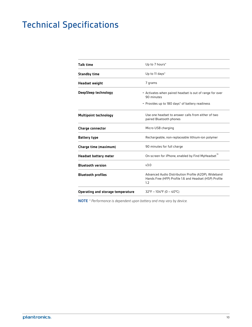## <span id="page-9-0"></span>Technical Specifications

| <b>Talk time</b>                  | Up to 7 hours*                                                                                                            |  |
|-----------------------------------|---------------------------------------------------------------------------------------------------------------------------|--|
| <b>Standby time</b>               | Up to 11 days*                                                                                                            |  |
| <b>Headset weight</b>             | 7 grams                                                                                                                   |  |
| DeepSleep technology              | • Activates when paired headset is out of range for over<br>90 minutes<br>• Provides up to 180 days* of battery readiness |  |
| <b>Multipoint technology</b>      | Use one headset to answer calls from either of two<br>paired Bluetooth phones                                             |  |
| <b>Charge connector</b>           | Micro USB charging                                                                                                        |  |
| <b>Battery type</b>               | Rechargeable, non-replaceable lithium-ion polymer                                                                         |  |
| Charge time (maximum)             | 90 minutes for full charge                                                                                                |  |
| Headset battery meter             | On-screen for iPhone, enabled by Find MyHeadset"                                                                          |  |
| <b>Bluetooth version</b>          | v3.0                                                                                                                      |  |
| <b>Bluetooth profiles</b>         | Advanced Audio Distribution Profile (A2DP), Wideband<br>Hands Free (HFP) Profile 1.6 and Headset (HSP) Profile<br>1.2     |  |
| Operating and storage temperature | $32^{\circ}F - 104^{\circ}F$ (0 - 40°C)                                                                                   |  |

**NOTE** *\* Performance is dependent upon battery and may vary by device.*